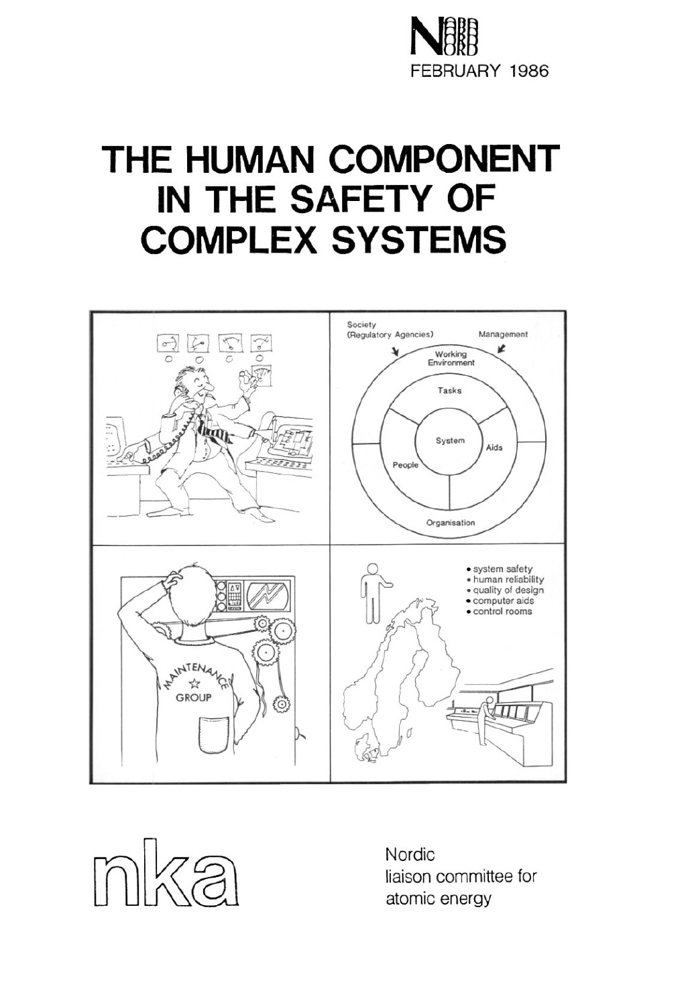

## **THE HUMAN COMPONENT IN THE SAFETY OF COMPLEX SYSTEMS**





liaison committee for atomic energy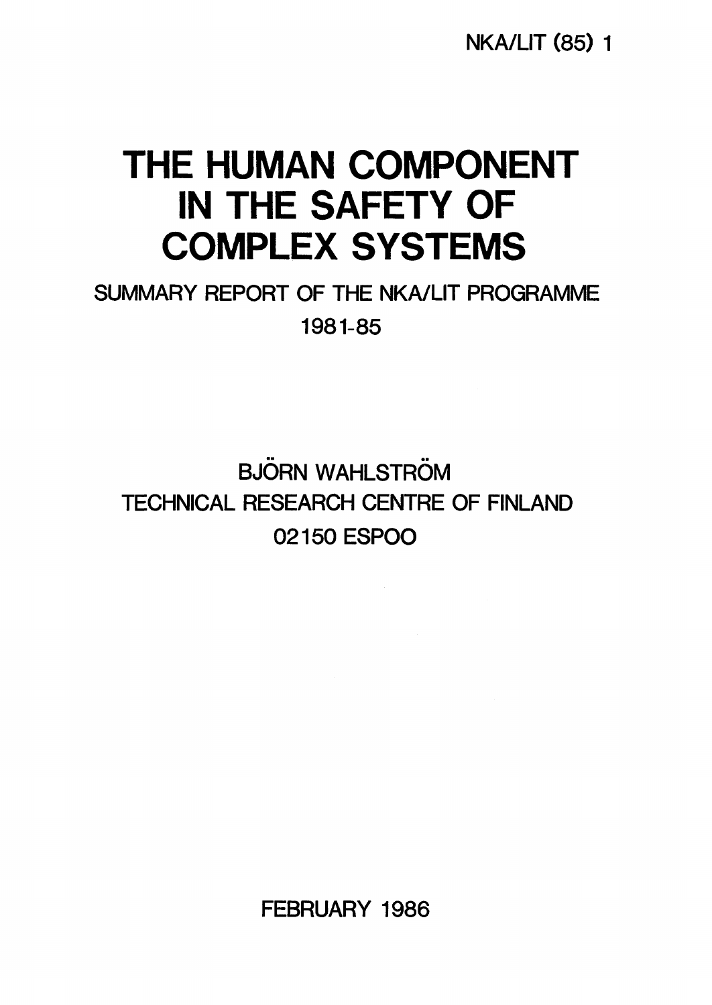NKA/LIT (85) 1

## **THE HUMAN COMPONENT IN THE SAFETY OF COMPLEX SYSTEMS**

SUMMARY REPORT OF THE NKA/LIT PROGRAMME 1981-85

**BJÖRN WAHLSTRÖM** TECHNICAL RESEARCH CENTRE OF FINLAND 02150 ESPOO

FEBRUARY 1986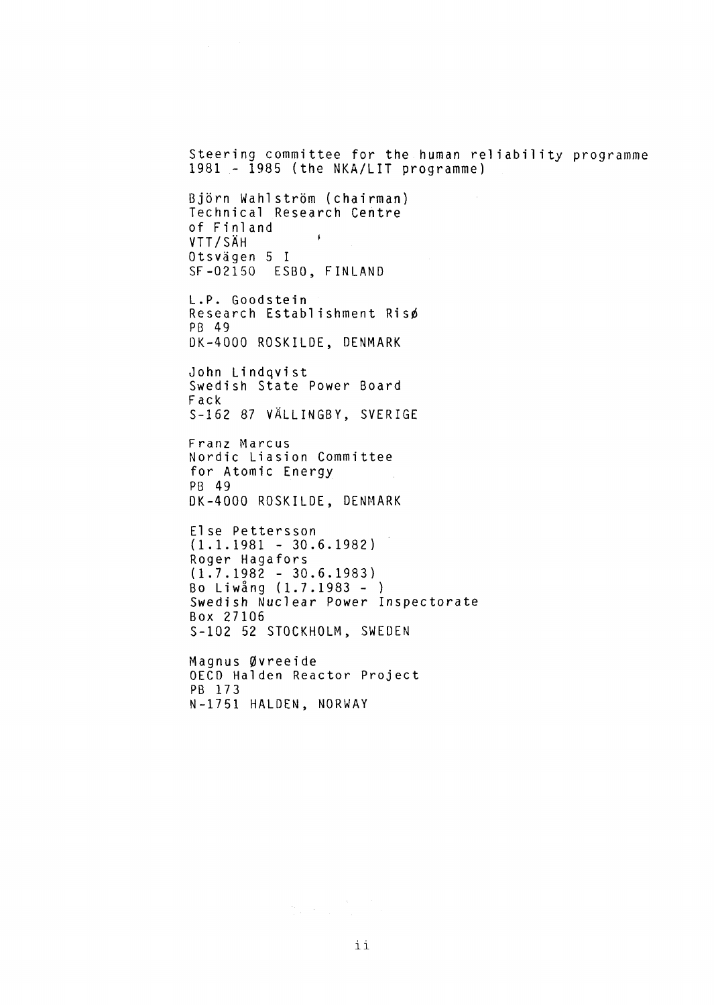Steering committee for the human reliability programme 1981 - 1985 (the NKA/LIT programme)

Björn Wahlström (chairman) Technical Research Centre of Finland VTT/SAH ' Otsvägen 5 I SF-02150 ESBO, FINLAND

L.P. Goodstein Research Establishment Risø PB 49 DK-4000 ROSKILDE, DENMARK

John Lindqvist Swedish State Power Board Fack S-162 87 VÅLLINGBY, SVERIGE

Franz Marcus Nordic Liasion Committee for Atomic Energy PB 49 DK-4000 ROSKILDE, DENMARK

El se Pettersson  $(1.1.1981 - 30.6.1982)$ Roger Hagafors (1.7.1982 - 30.6.1983) Bo Liwång (1.7.1983 - ) Swedish Nuclear Power Inspectorate Box 27106 S-102 52 STOCKHOLM, SWEDEN

Magnus Øvreeide OECD Halden Reactor Project PB 173 N-1751 HALDEN, NORWAY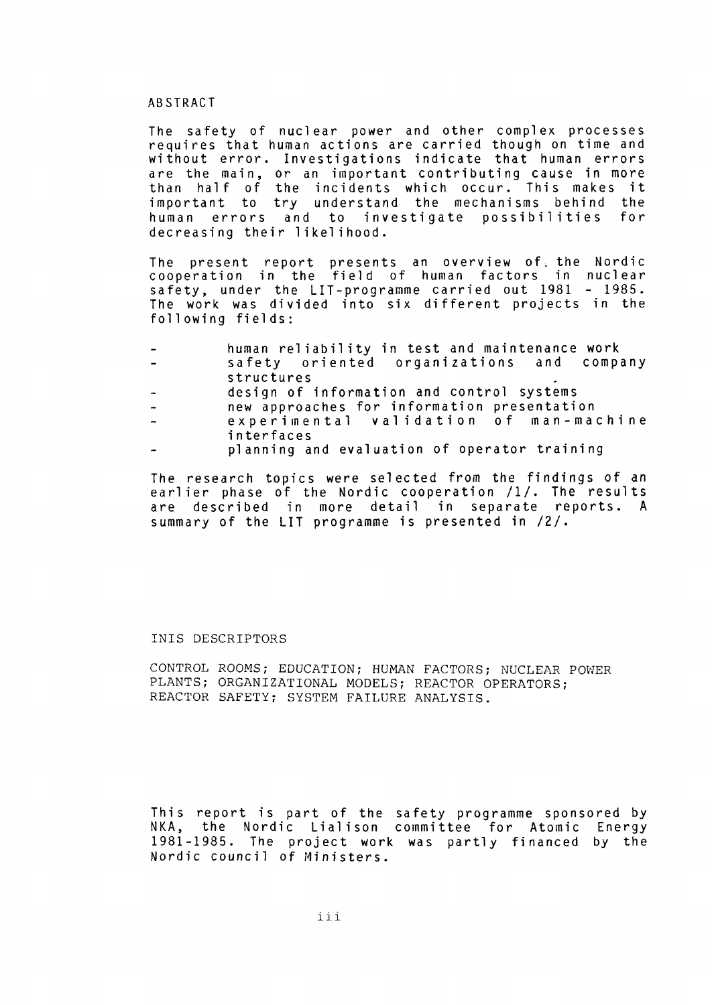#### ABSTRACT

The safety of nuclear power and other complex processes requires that human actions are carried though on time and without error. Investigations indicate that human errors are the main, or an important contributing cause in more than half of the incidents which occur. This makes it important to try understand the mechanisms behind the human errors and to investigate possibilities for decreasing their likelihood.

The present report presents an overview of the Nordic cooperation in the field of human factors in nuclear safety, under the LIT-programme carried out 1981 - 1985. The work was divided into six different projects in the following fields:

- human reliability in test and maintenance work
- safety oriented organizations and company structures
- design of information and control systems
- new approaches for information presentation  $\overline{\phantom{a}}$
- experimental validation of man-machine interfaces
- planning and evaluation of operator training

The research topics were selected from the findings of an earlier phase of the Nordic cooperation  $/1/$ . The results åre described in more detail in separate reports. A summary of the LIT programme is presented in /2/.

#### INIS DESCRIPTORS

CONTROL ROOMS; EDUCATION; HUMAN FACTORS; NUCLEAR POWER PLANTS; ORGANIZATIONAL MODELS; REACTOR OPERATORS; REACTOR SAFETY; SYSTEM FAILURE ANALYSIS.

This report is part of the safety programme sponsored by NKA, the Nordic Lialison committee for Atomic Energy 1981-1985. The project work was partly financed by the Nordic council of Ministers.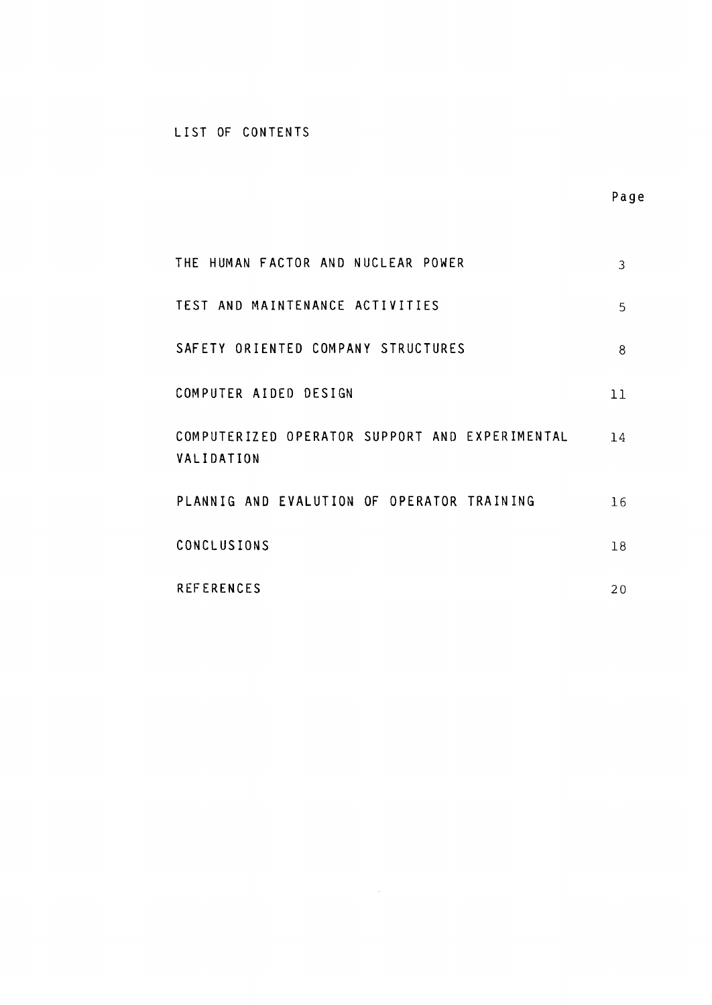### LIST OF CONTENTS

| THE HUMAN FACTOR AND NUCLEAR POWER                           | 3  |
|--------------------------------------------------------------|----|
| TEST AND MAINTENANCE ACTIVITIES                              | 5. |
| SAFETY ORIENTED COMPANY STRUCTURES                           | 8  |
| COMPUTER AIDED DESIGN                                        | 11 |
| COMPUTERIZED OPERATOR SUPPORT AND EXPERIMENTAL<br>VALIDATION | 14 |
| PLANNIG AND EVALUTION OF OPERATOR TRAINING                   | 16 |
| CONCLUSIONS                                                  | 18 |
| <b>REFERENCES</b>                                            | 20 |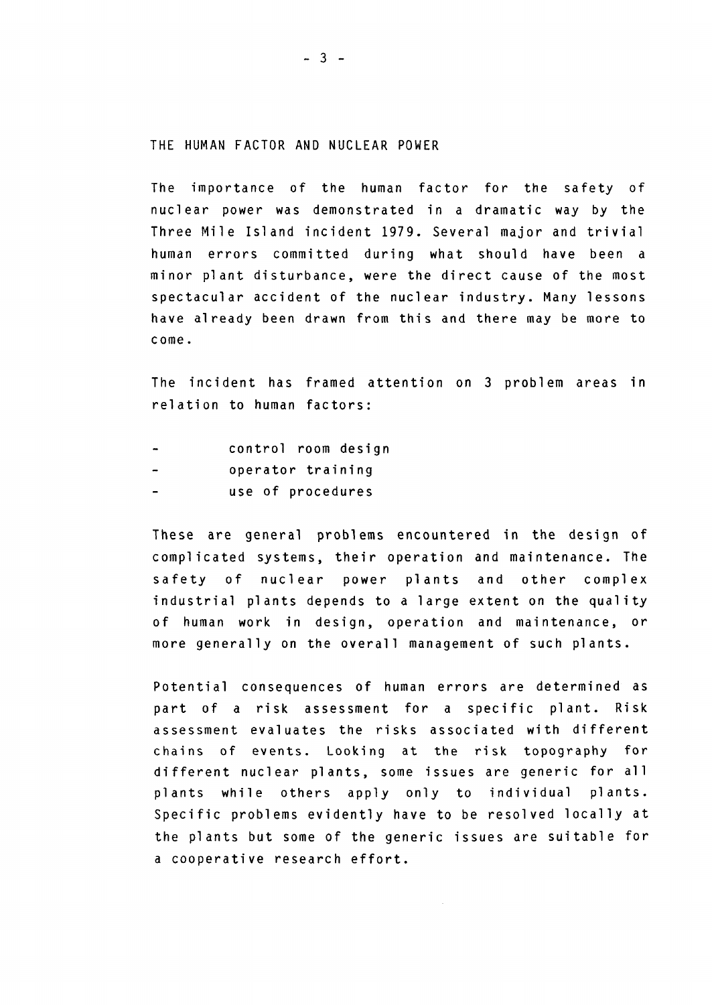#### THE HUMAN FACTOR AND NUCLEAR POWER

The importance of the human factor for the safety of nuclear power was demonstrated in a dramatic way by the Three Mile Island incident 1979. Several major and trivial human errors committed during what should have been a minor plant disturbance, were the direct cause of the most spectacular accident of the nuclear industry. Many lessons have already been drawn from this and there may be more to come.

The incident has framed attention on 3 problem areas in relation to human factors:

- control room design
- operator training
- use of procedures

These åre general problems encountered in the design of complicated systems, their operation and maintenance. The safety of nuclear power plants and other complex industrial plants depends to a large extent on the quality of human work in design, operation and maintenance, or more generally on the overall management of such plants.

Potential consequences of human errors åre determined as part of a risk assessment for a specific plant. Risk assessment evaluates the risks associated with different chains of events. Looking at the risk topography for different nuclear plants, some issues are generic for all plants while others apply only to individual plants. Specific problems evidently have to be resolved locally at the plants but some of the generic issues are suitable for a cooperative research effort.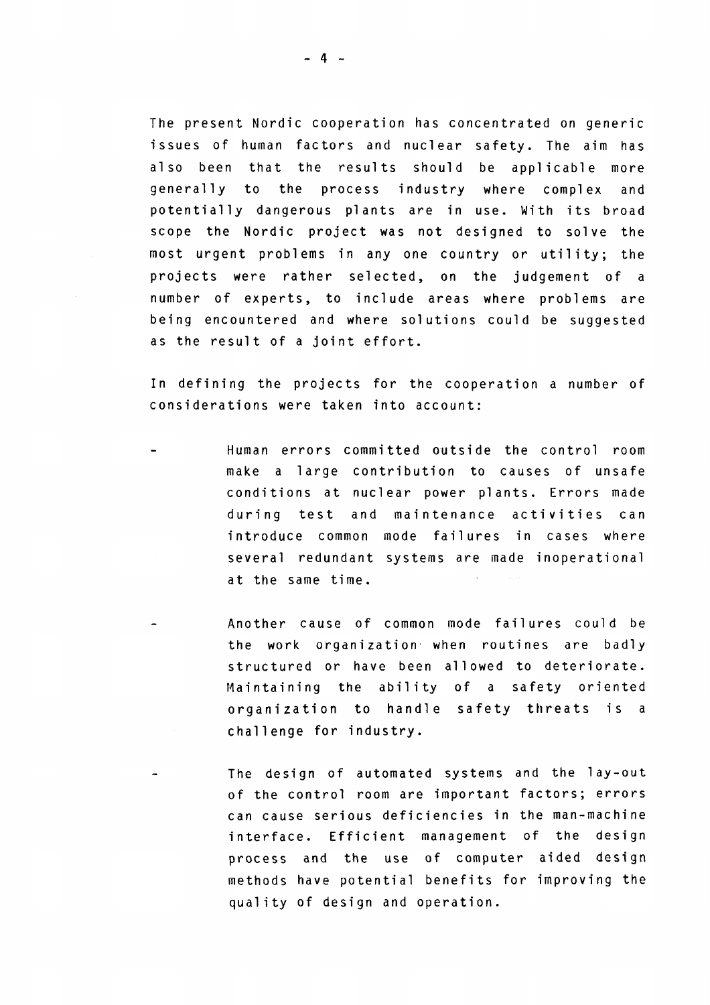The present Nordic cooperation has concentrated on generic issues of human factors and nuclear safety. The aim has also been that the results should be applicable more generally to the process industry where complex and potentially dangerous plants are in use. With its broad scope the Nordic project was not designed to solve the most urgent problems in any one country or utility; the projects were rather selected, on the judgement of a number of experts, to include areas where problems are being encountered and where solutions could be suggested as the result of a joint effort.

In defining the projects for the cooperation a number of considerations were taken into account:

- Human errors committed outside the control room make a large contribution to causes of unsafe conditions at nuclear power plants. Errors made during test and maintenance activities can introduce common mode failures in cases where several redundant systems are made inoperational at the same time.
	- Another cause of common mode failures could be the work organization when routines are badly structured or have been allowed to deteriorate. Maintaining the ability of a safety oriented organization to handle safety threats is a challenge for industry.
		- The design of automated systems and the lay-out of the control room åre important factors; errors can cause serious deficiencies in the man-machine interface. Efficient management of the design process and the use of computer aided design methods have potential benefits for improving the quality of design and operation.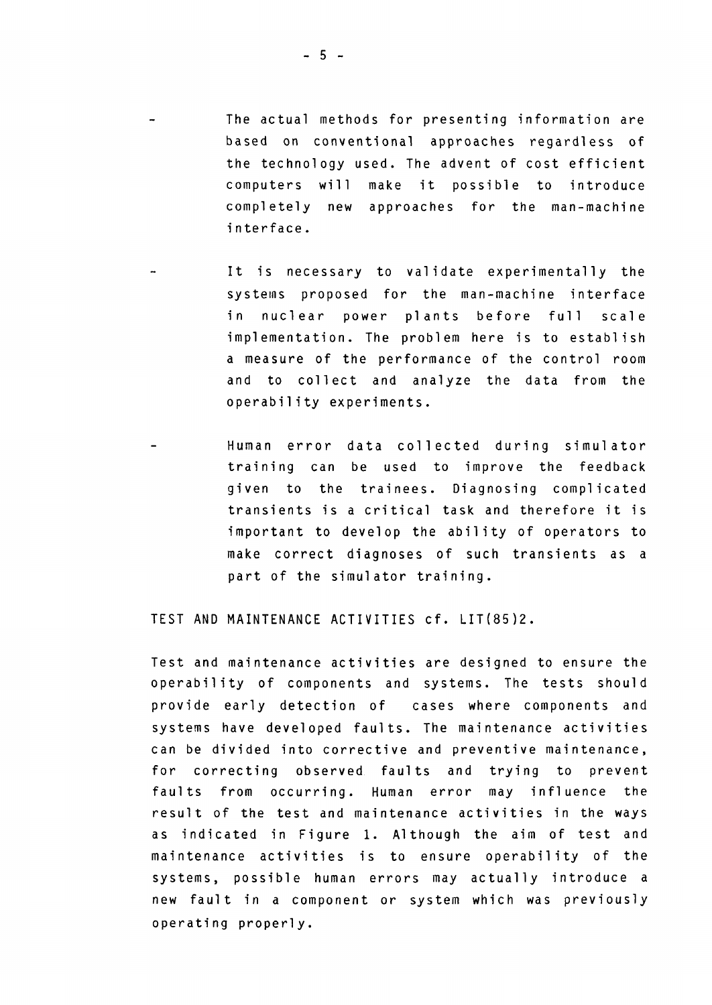- The actual methods for presenting information are based on conventional approaches regardless of the technology used. The advent of cost efficient computers will make it possible to introduce completely new approaches for the man-machine interface.
- It is necessary to validate experimentally the systems proposed for the man-machine interface in nuclear power plants before full scale implementation. The problem here is to establish a measure of the performance of the control room and to collect and analyze the data from the operability experiments.
- Human error data collected during simulator training can be used to improve the feedback given to the trainees. Diagnosing complicated transients is a critical task and therefore it is important to develop the ability of operators to make correct diagnoses of such transients as a part of the simulator training.

TEST AND MAINTENANCE ACTIVITIES cf. LIT(85)2.

Test and maintenance activities are designed to ensure the operability of components and systems. The tests should provide early detection of cases where components and systems have developed faults. The maintenance activities can be divided into corrective and preventive maintenance, for correcting observed faults and trying to prevent faults from occurring. Human error may influence the result of the test and maintenance activities in the ways as indicated in Figure 1. Although the aim of test and maintenance activities is to ensure operability of the systems, possible human errors may actually introduce a new fault in a component or system which was previously operating properly.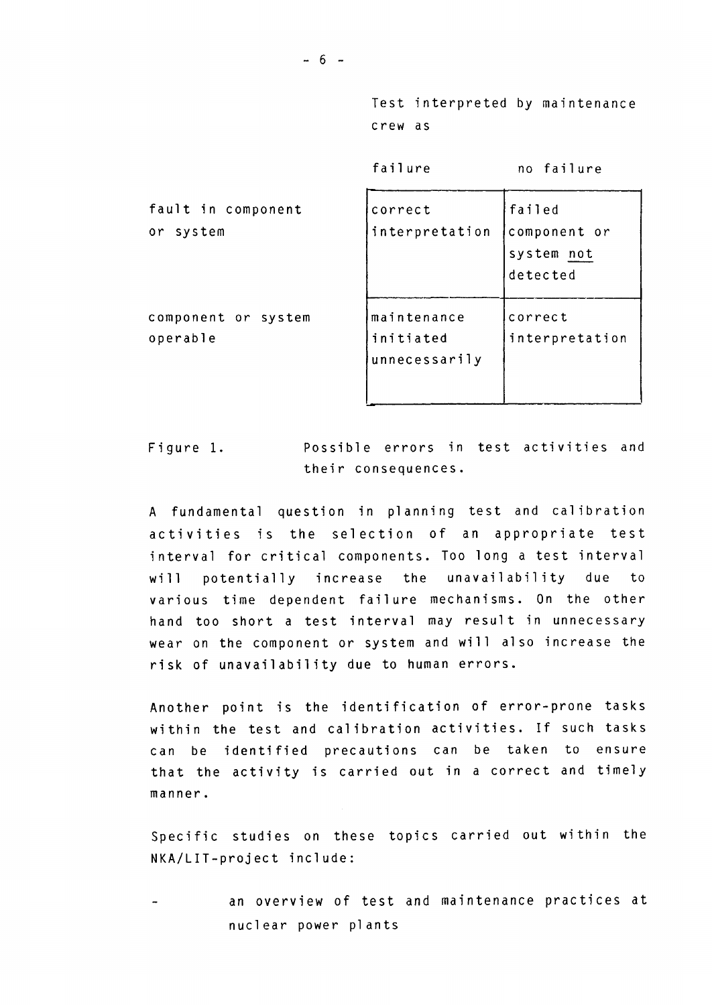Test interpreted by maintenance crew as

failure no failure

| fault in component<br>or system | correct<br>interpretation                 | failed<br>component or<br>system not<br>detected |
|---------------------------------|-------------------------------------------|--------------------------------------------------|
| component or system<br>operable | maintenance<br>initiated<br>unnecessarily | correct<br>interpretation                        |

Figure 1. Possible errors in test activities and their consequences.

A fundamental question in planning test and calibration activities is the selection of an appropriate test interval for critical components. Too long a test interval will potentially increase the unavailability due to various time dependent failure mechanisms. On the other hand too short a test interval may result in unnecessary wear on the component or system and will also increase the risk of unavailability due to human errors.

Another point is the identification of error-prone tasks within the test and calibration activities. If such tasks can be identified precautions can be taken to ensure that the activity is carried out in a correct and timely manner.

Specific studies on these topics carried out within the NKA/LIT-project include :

an overview of test and maintenance practices at nuclear power plants

 $- 6 -$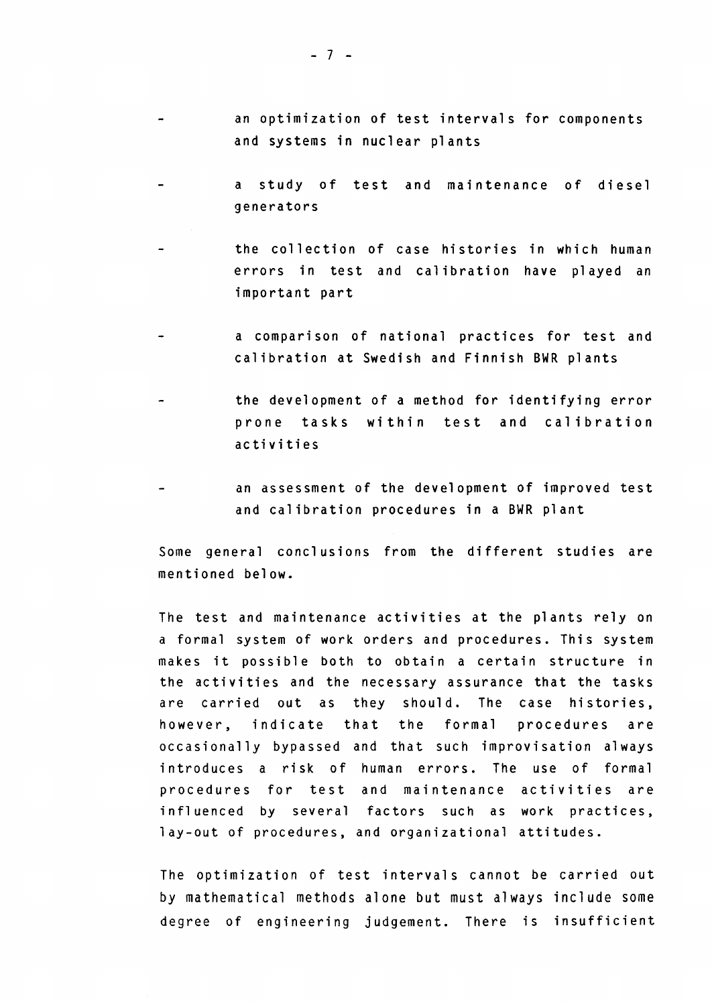- an optimization of test intervals for components and systems in nuclear plants
- a study of test and maintenance of diesel  $\overline{a}$ generators
- the collection of case histories in which human errors in test and calibration have played an important part
- a comparison of national practices for test and calibration at Swedish and Finnish BWR plants
- the development of a method for identifying error prone tasks within test and calibration activities
- an assessment of the development of improved test and calibration procedures in a BWR plant

Some general conclusions from the different studies åre mentioned below.

The test and maintenance activities at the plants rely on a formal system of work orders and procedures. This system makes it possible both to obtain a certain structure in the activities and the necessary assurance that the tasks åre carried out as they should. The case histories, however, indicate that the formal procedures are occasionally bypassed and that such improvisation always introduces a risk of human errors. The use of formal procedures for test and maintenance activities are influenced by several factors such as work practices, lay-out of procedures, and organizational attitudes.

The optimization of test intervals cannot be carried out by mathematical methods alone but must always include some degree of engineering judgement. There is insufficient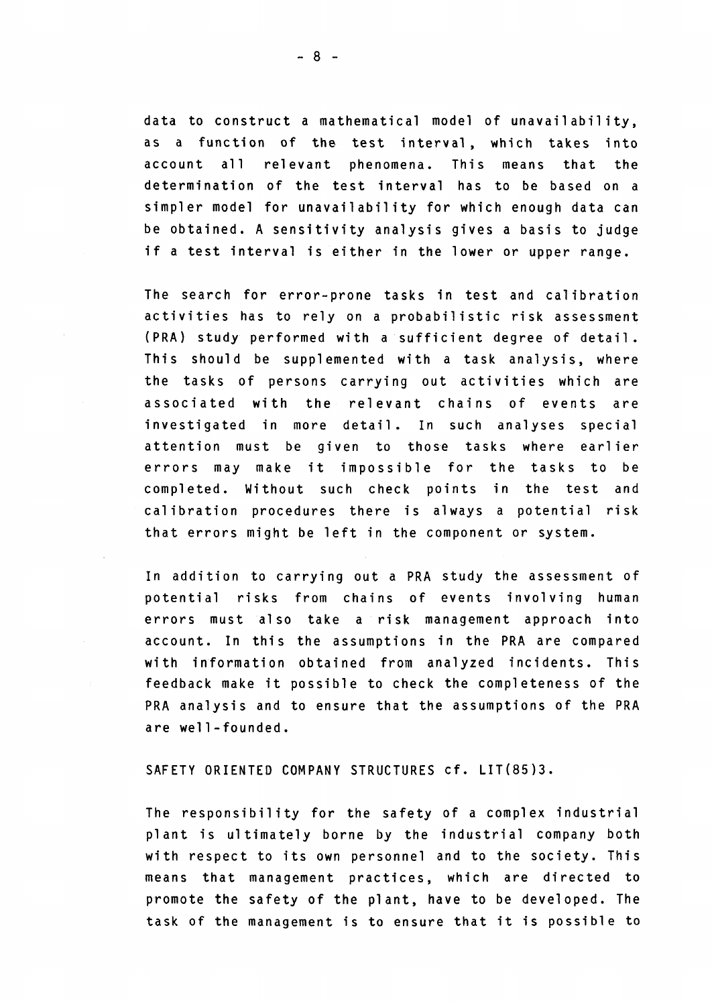data to construct a mathematical model of unavailability, as a function of the test interval, which takes into account all relevant phenomena. This means that the determination of the test interval has to be based on a simpler model for unavailability for which enough data can be obtained. A sensitivity analysis gives a basis to judge if a test interval is either in the lower or upper range.

The search for error-prone tasks in test and calibration activities has to rely on a probabilistic risk assessment (PRA) study performed with a sufficient degree of detail. This should be supplemented with a task analysis, where the tasks of persons carrying out activities which åre associated with the relevant chains of events are investigated in more detail. In such analyses special attention must be given to those tasks where earlier errors may make it impossible for the tasks to be completed. Without such check points in the test and calibration procedures there is always a potential risk that errors might be left in the component or system.

In addition to carrying out a PRA study the assessment of potential risks from chains of events involving human errors must also take a risk management approach into account. In this the assumptions in the PRA åre compared with information obtained from analyzed incidents. This feedback make it possible to check the completeness of the PRA analysis and to ensure that the assumptions of the PRA åre well-founded.

SAFETY ORIENTED COMPANY STRUCTURES cf. LIT(85)3.

The responsibility for the safety of a complex industrial plant is ultimately borne by the industrial company both with respect to its own personnel and to the society. This means that management practices, which åre directed to promote the safety of the plant, have to be developed. The task of the management is to ensure that it is possible to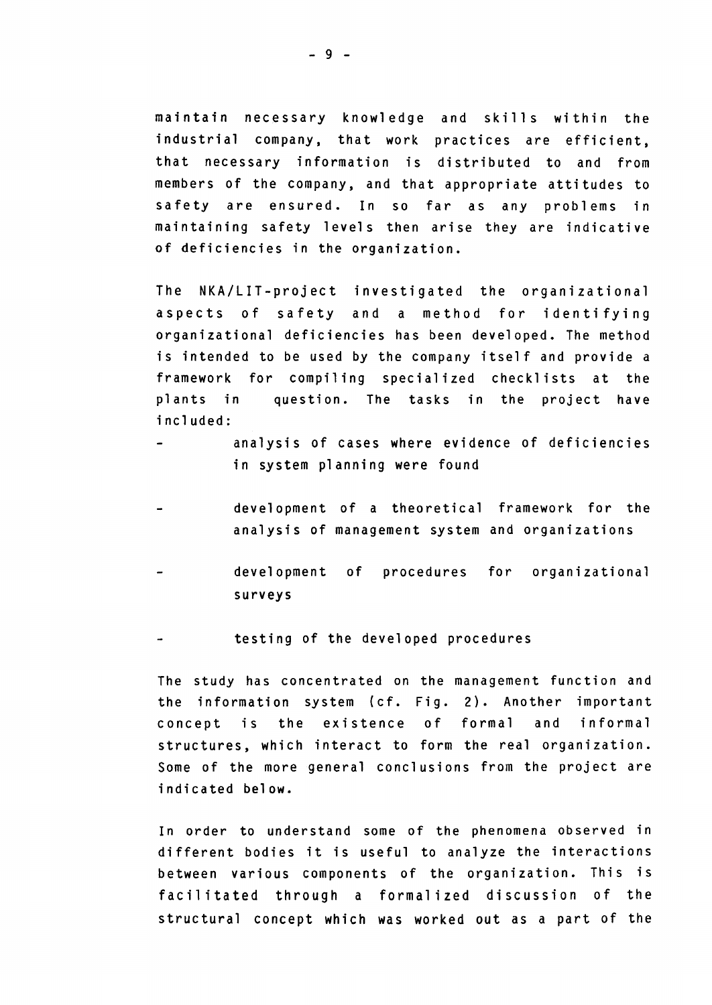maintain necessary knowledge and skills within the industrial company, that work practices åre efficient, that necessary information is distributed to and from members of the company, and that appropriate attitudes to safety are ensured. In so far as any problems in maintaining safety levels then arise they are indicative of deficiencies in the organization.

The NKA/LIT-project investigated the organizational aspects of safety and a method for identifying organizational deficiencies has been developed. The method is intended to be used by the company itself and provide a framework for compiling specialized checklists at the plants in question. The tasks in the project have i ncluded:

- analysis of cases where evidence of deficiencies in system planning were found
- development of a theoretical framework for the analysis of management system and organizations
- development of procedures for organizational surveys
- testing of the developed procedures

The study has concentrated on the management function and the information system (cf. Fig. 2). Another important concept is the existence of formal and informal structures, which interact to form the real organization. Some of the more general conclusions from the project are indicated below.

In order to understand some of the phenomena observed in different bodies it is useful to analyze the interactions between various components of the organization. This is facilitated through a formalized discussion of the structural concept which was worked out as a part of the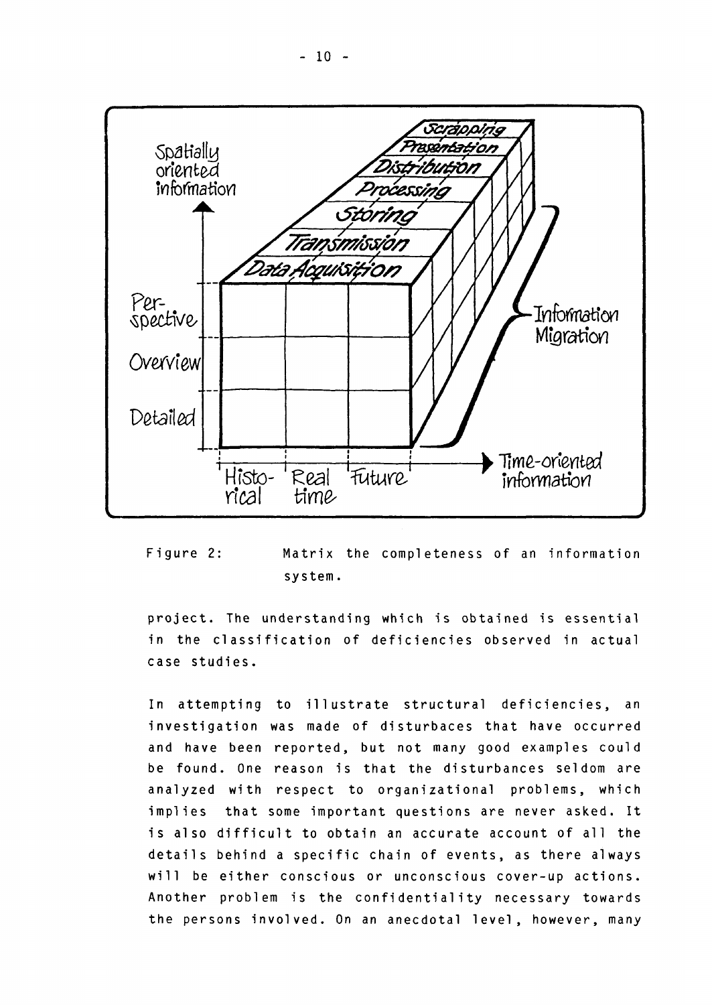

Figure 2: Matrix the completeness of an information system.

project. The understanding which is obtained is essential in the classification of deficiencies observed in actual case studies.

In attempting to illustrate structural deficiencies, an investigation was made of disturbaces that have occurred and have been reported, but not many good examples could be found. One reason is that the disturbances seldom åre analyzed with respect to organizational problems, which implies that some important questions åre never asked. It is also difficult to obtain an accurate account of all the details behind a specific chain of events, as there always will be either conscious or unconscious cover-up actions. Another problem is the confidentiality necessary towards the persons involved. On an anecdotal level, however, many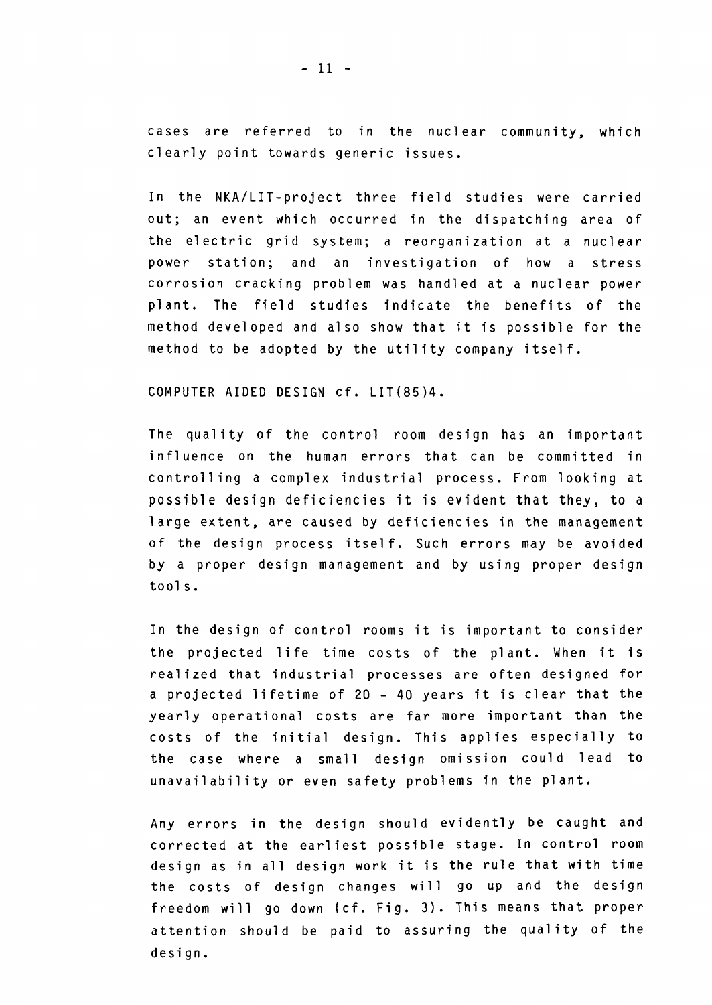cases are referred to in the nuclear community, which clearly point towards generic issues.

In the NKA/LIT-project three field studies were carried out; an event which occurred in the dispatching area of the electric grid system; a reorganization at a nuclear power station; and an investigation of how a stress corrosion cracking problem was handled at a nuclear power plant. The field studies indicate the benefits of the method developed and also show that it is possible for the method to be adopted by the utility company itself.

COMPUTER AIDED DESIGN cf. LIT(85)4.

The quality of the control room design has an important influence on the human errors that can be committed in controlling a complex industrial process. From looking at possible design deficiencies it is evident that they, to a large extent, åre caused by deficiencies in the management of the design process itself. Such errors may be avoided by a proper design management and by using proper design tools.

In the design of control rooms it is important to consider the projected life time costs of the plant. When it is realized that industrial processes åre often designed for a projected lifetime of 20 - 40 years it is clear that the yearly operational costs åre far more important than the costs of the initial design. This applies especially to the case where a small design omission could lead to unavailability or even safety problems in the plant.

Any errors in the design should evidently be caught and corrected at the earliest possible stage. In control room design as in all design work it is the rule that with time the costs of design changes will go up and the design freedom will go down (cf. Fig. 3). This means that proper attention should be paid to assuring the quality of the design.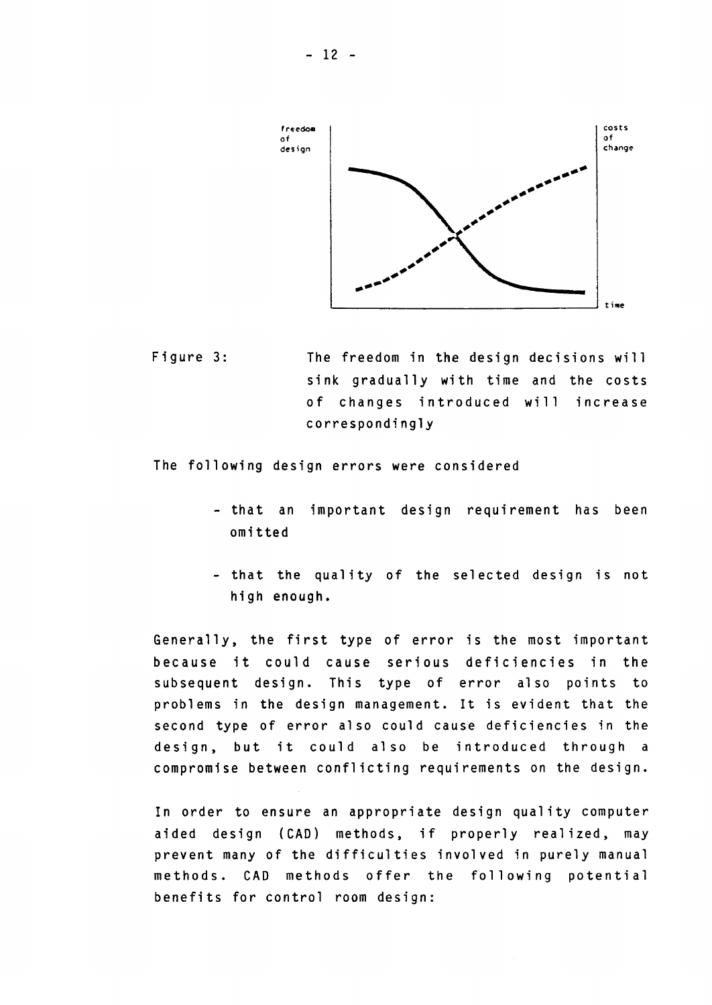

Figure 3: The freedom in the design decisions will sink gradually with time and the costs of changes introduced will increase correspondingly

The following design errors were considered

- that an important design requirement has been omitted
- that the quality of the selected design is not high enough.

Generally, the first type of error is the most important because it could cause serious deficiencies in the subsequent design. This type of error also points to problems in the design management. It is evident that the second type of error al so could cause deficiencies in the design, but it could also be introduced through a compromise between conflicting requirements on the design.

In order to ensure an appropriate design quality computer aided design (CAD) methods, if properly realized, may prevent many of the difficulties involved in purely manual methods. CAD methods offer the following potential benefits for control room design: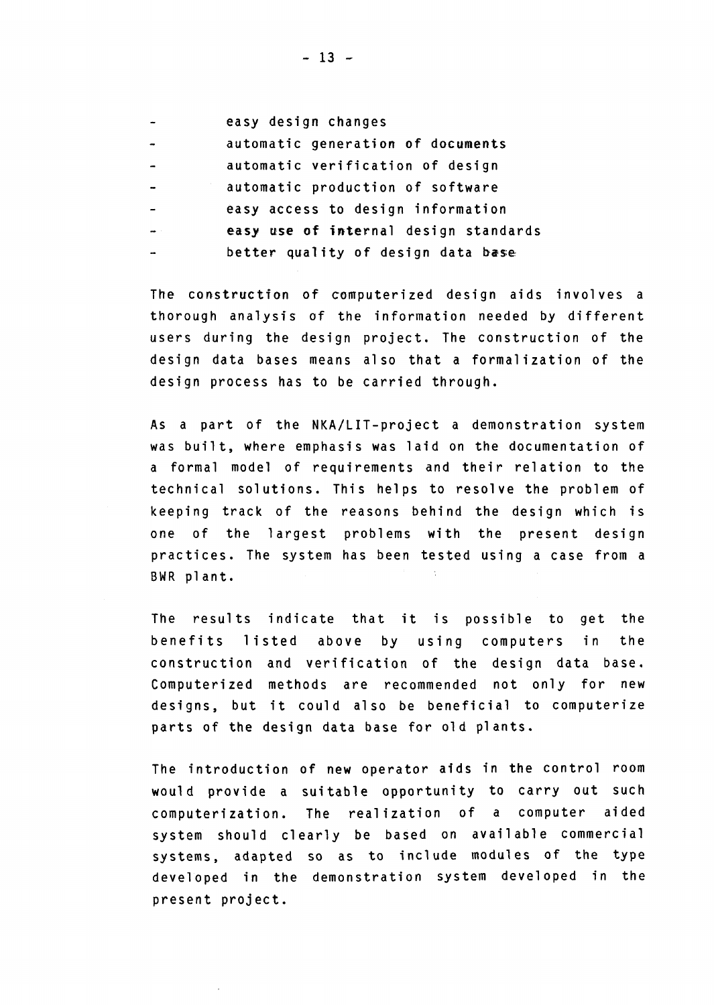- easy design changes automatic generation of documents  $\overline{a}$ automatic verification of design
- 
- automatic production of software  $\overline{a}$
- easy access to design information
- easy use of internal design standards
- better quality of design data base

The construction of computerized design aids involves a thorough analysis of the information needed by different users during the design project. The construction of the design data bases means also that a formalization of the design process has to be carried through.

As a part of the NKA/LIT-project a demonstration system was built, where emphasis was laid on the documentation of a formal model of requirements and their relation to the technical solutions. This helps to resolve the problem of keeping track of the reasons behind the design which is one of the largest problems with the present design practices. The system has been tested using a case from a BWR plant.

The results indicate that it is possible to get the benefits listed above by using computers in the construction and verification of the design data base. Computerized methods åre recommended not only for new designs, but it could also be beneficial to computerize parts of the design data base for old plants.

The introduction of new operator aids in the control room would provide a suitable opportunity to carry out such computerization. The real ization of a computer aided system should clearly be based on available commercial systems, adapted so as to include modules of the type developed in the demonstration system developed in the present project.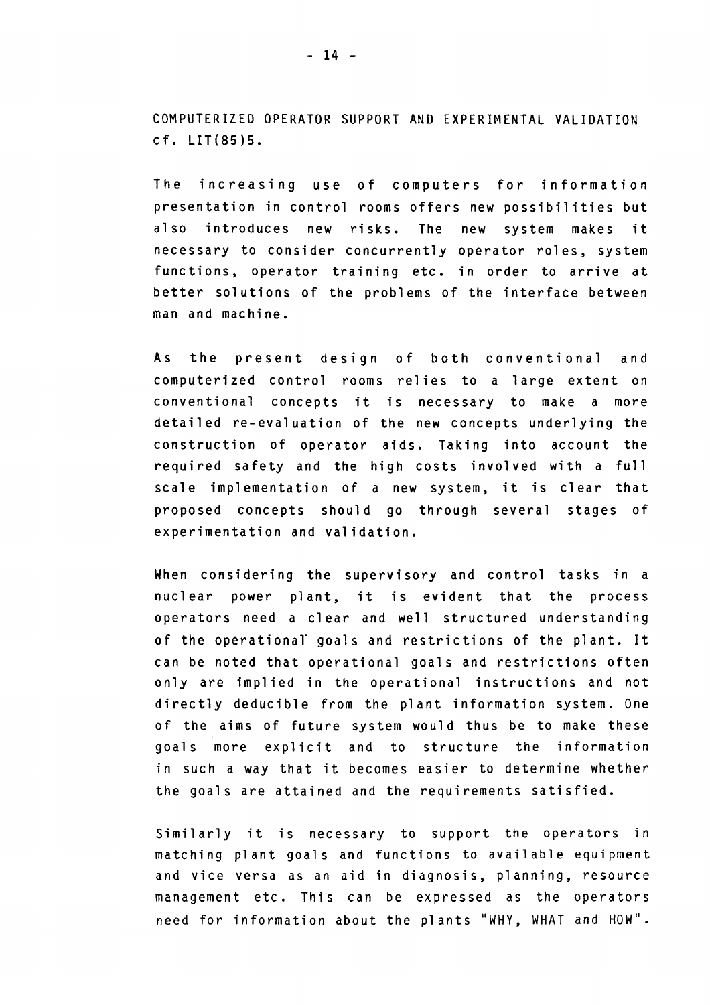COMPUTERIZED OPERATOR SUPPORT AND EXPERIMENTAL VALIDATION cf. LIT(85)5.

The increasing use of computers for information presentation in control rooms offers new possibilities but also introduces new risks. The new system makes it necessary to consider concurrently operator roles, system functions, operator training etc. in order to arrive at better solutions of the problems of the interface between man and machine.

As the present design of both conventional and computerized control rooms relies to a large extent on conventional concepts it is necessary to make a more detailed re-evaluation of the new concepts underlying the construction of operator aids. Taking into account the required safety and the high costs involved with a full scale implementation of a new system, it is clear that proposed concepts should go through several stages of experimentation and validation.

When considering the supervisory and control tasks in a nuclear power plant, it is evident that the process operators need a clear and well structured understanding of the operational' goals and restrictions of the plant. It can be noted that operational goals and restrictions often only are implied in the operational instructions and not directly deducible from the plant information system. One of the aims of future system would thus be to make these goals more explicit and to structure the information in such a way that it becomes easier to determine whether the goals åre attained and the requirements satisfied.

Similarly it is necessary to support the operators in matching plant goals and functions to available equipment and vice versa as an aid in diagnosis, planning, resource management etc. This can be expressed as the operators need for information about the plants "WHY, WHAT and HOW".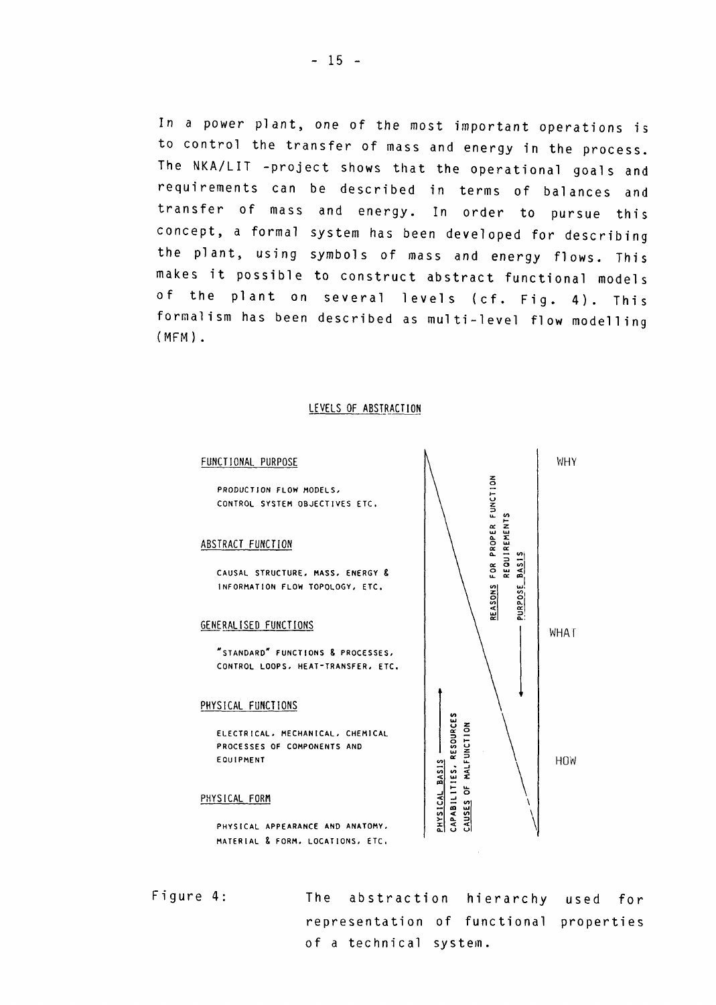In a power plant, one of the most important operations is to control the transfer of mass and energy in the process. The NKA/LIT -project shows that the operational goals and requirements can be described in terms of balances and transfer of mass and energy. In order to pursue this concept, a formal system has been developed for describing the plant, using symbols of mass and energy flows. This makes it possible to construct abstract functional models of the plant on several levels (cf. Fig. 4). This formalism has been described as multi-level flow modelling  $(MFM)$ .

#### LEVELS OF ABSTRACTION

#### FUNCT

CONTROL SYSTEM OBJECTIVES ETC. **NCTIONAL PURPOSE**<br>PRODUCTION FLOW MODELS,

#### **0**<br>BSTRACT FUNCTION

INFORMATION FLOW TOPOLOGY, ETC. CAUSAL STRUCTURE, MASS, ENERGY &

#### GENERALISED FUNCTIONS

CONTROL LOOPS, HEAT-TRANSFER, ETC "STANDARD" FUNCTIONS & PROCESSES

#### PHYSICAL FUNCTIONS

P<br>E<br>C ہ<br>ا ROCESSES OF COMPONENTS AND<br>QUIPMENT<br>|CAL FORM ס<br>| µ<br>∙ ^ ~ -o 3 *v>* I m c ELECTRICAL, MECHANICAL, CHEMICAL

# EQUIPME|<br>PHYSICAL F!

PHYSICAL APPEARANCE AND ANATOMY,<br>MATERIAL & FORM, LOCATIONS, ETC. PHYSICAL APPEARANCE AND ANATOMY,



of a technical system representation of functional properties The abstraction hierarchy used for

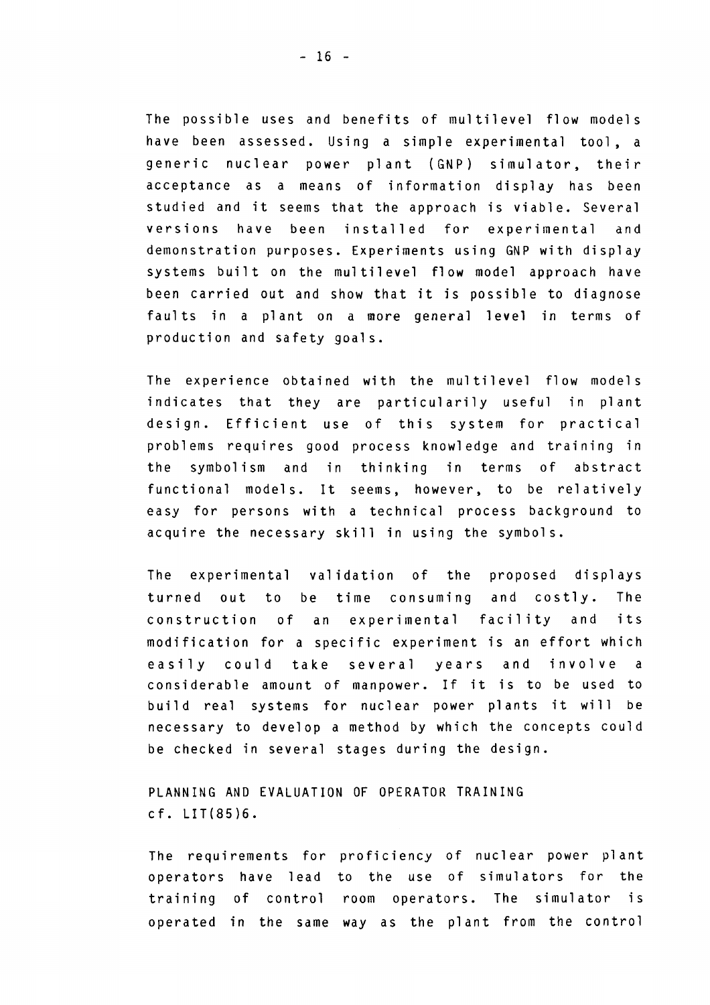The possible uses and benefits of multilevel flow models have been assessed. Using a simple experimental tool, a generic nuclear power plant (GNP) simulator, their acceptance as a means of information display has been studied and it seems that the approach is viable. Several versions have been installed for experimental and demonstration purposes. Experiments using GNP with display systems built on the multilevel flow model approach have been carried out and show that it is possible to diagnose faults in a plant on a more general level in terms of production and safety goals.

The experience obtained with the multilevel flow models indicates that they are particularily useful in plant design. Efficient use of this system for practical problems requires good process knowledge and training in the symbolism and in thinking in terms of abstract functional models. It seems, however, to be relatively easy for persons with a technical process background to acquire the necessary skill in using the symbols.

The experimental validation of the proposed displays turned out to be time consuming and costly. The construction of an experimental facility and its modification for a specific experiment is an effort which easily could take several years and involve a considerable amount of manpower. If it is to be used to build real systems for nuclear power plants it will be necessary to develop a method by which the concepts could be checked in several stages during the design.

PLANNING AND EVALUATION OF OPERATOR TRAINING cf. LIT(85)6.

The requirements for proficiency of nuclear power plant operators have lead to the use of simulators for the training of control room operators. The simulator is operated in the same way as the plant from the control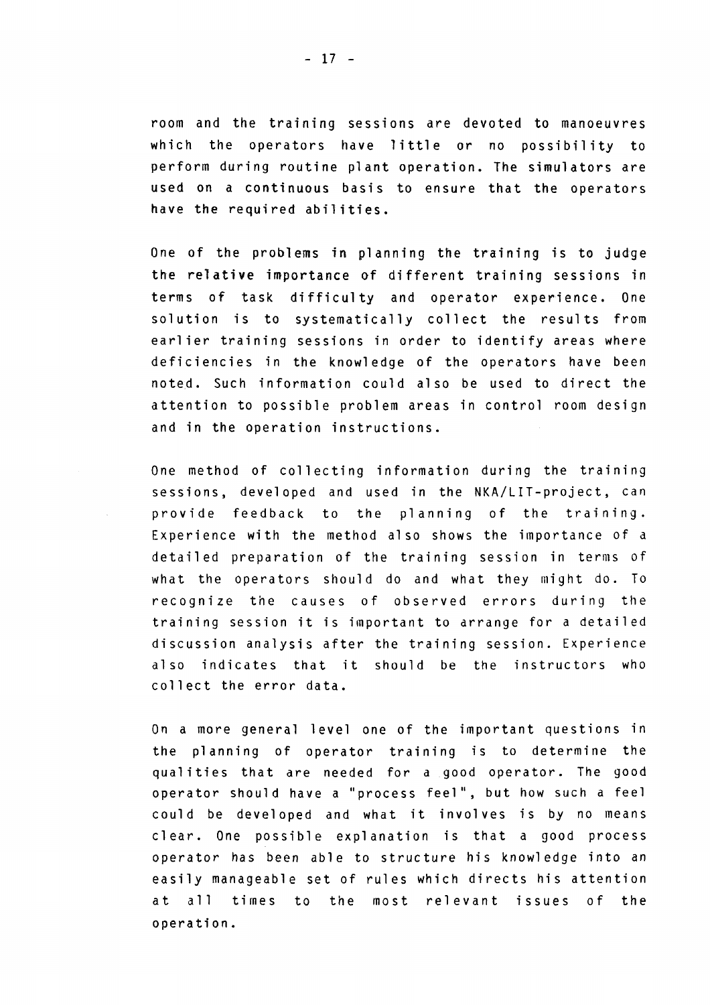room and the traim'ng sessions åre devoted to manoeuvres which the operators have little or no possibility to perform during routine plant operation. The simulators are used on a continuous basis to ensure that the operators have the required abilities.

One of the problems in planning the training is to judge the relative importance of different training sessions in terms of task difficulty and operator experience. One solution is to systematically collect the results from earlier training sessions in order to identify areas where deficiencies in the knowledge of the operators have been noted. Such information could also be used to direct the attention to possible problem areas in control room design and in the operation instructions.

One method of collecting information during the training sessions, developed and used in the NKA/LIT-project, can provide feedback to the planning of the training. Experience with the method also shows the importance of a detailed preparation of the training session in terms of what the operators should do and what they might do. To recognize the causes of observed errors during the training session it is important to arrange for a detailed discussion analysis after the training session. Experience also indicates that it should be the instructors who collect the error data.

On a more general level one of the important questions in the planning of operator training is to determine the qualities that are needed for a good operator. The good operator should have a "process feel", but how such a feel could be developed and what it involves is by no means clear. One possible explanation is that a good process operator has been able to structure his knowledge into an easily manageable set of rules which directs his attention at all times to the most relevant issues of the operation.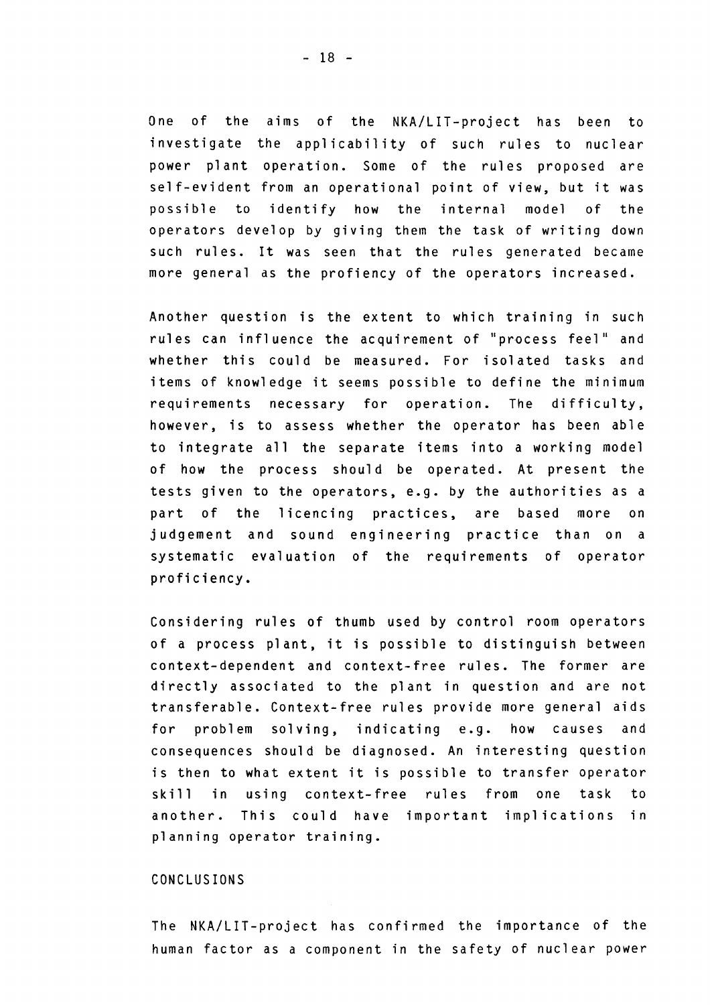One of the aims of the NKA/LIT-project has been to investigate the applicability of such rules to nuclear power plant operation. Some of the rules proposed are self-evident from an operational point of view, but it was possible to identify how the internal model of the operators develop by giving them the task of writing down such rules. It was seen that the rules generated became more general as the profiency of the operators increased.

Another question is the extent to which training in such rules can influence the acquirement of "process feel" and whether this could be measured. For isolated tasks and items of knowledge it seems possible to define the minimum requirements necessary for operation. The difficulty, however, is to assess whether the operator has been able to integrate all the separate items into a working model of how the process should be operated. At present the tests given to the operators, e.g. by the authorities as a part of the licencing practices, are based more on judgement and sound engineering practice than on a systematic evaluation of the requirements of operator proficiency.

Considering rules of thumb used by control room operators of a process plant, it is possible to distinguish between context-dependent and context-free rules. The former åre directly associated to the plant in question and åre not transferable. Context-free rules provide more general aids for problem solving, indicating e.g. how causes and consequences should be diagnosed. An interesting question is then to what extent it is possible to transfer operator skill in using context-free rules from one task to another. This could have important implications in planning operator training.

#### CONCLUSIONS

The NKA/LIT-project has confirmed the importance of the human factor as a component in the safety of nuclear power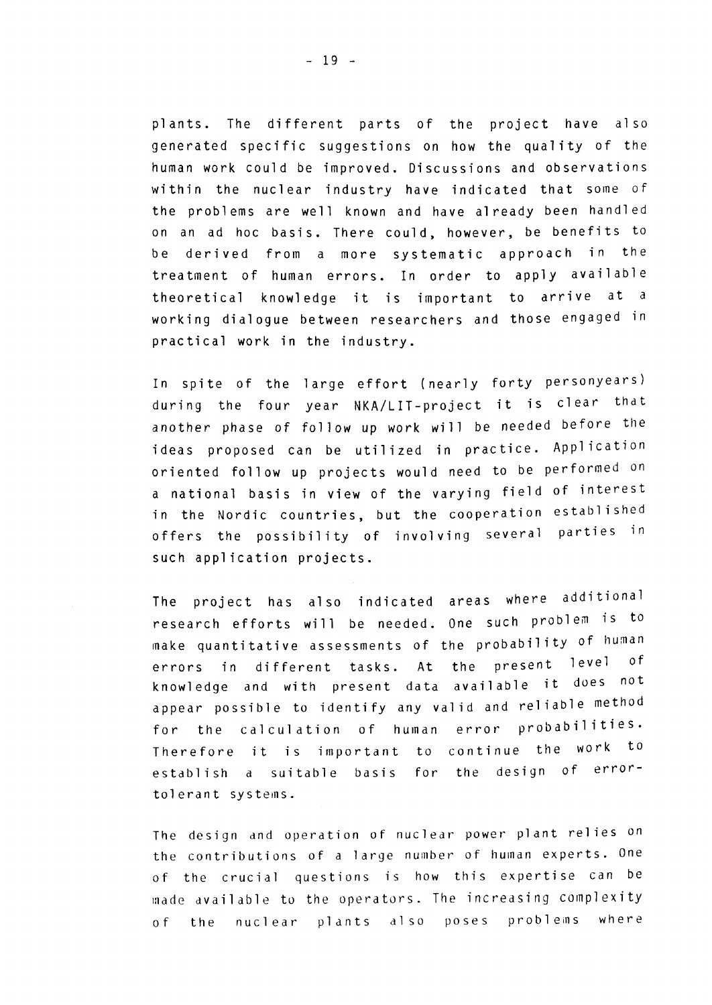plants. The different parts of the project have also generated specific suggestions on how the quality of the human work could be improved. Discussions and observations within the nuclear industry have indicated that some of the problems are well known and have already been handled on an ad hoc basis. There could, however, be benefits to be derived from a more systematic approach in the treatment of human errors. In order to apply available theoretical knowledge it is important to arrive at a working dialogue between researchers and those engaged in practical work in the industry.

In spite of the large effort (nearly forty personyears) during the four year NKA/LIT-project it is clear that another phase of follow up work will be needed before the ideas proposed can be utilized in practice. Application oriented follow up projects would need to be performed on a national basis in view of the varying field of interest in the Nordic countries, but the cooperation established offers the possibility of involving several parties in such application projects.

The project has also indicated areas where additional research efforts will be needed. One such problem is to make quantitative assessments of the probability of human errors in different tasks. At the present level of knowledge and with present data available it does not appear possible to identify any valid and reliable method for the calculation of human error probabilities. Therefore it is important to continue the work to establish a suitable basis for the design of errortolerant systems .

The design and operation of nuclear power plant relies on the contributions of a large number of human experts. One of the crucial questions is how this expertise can be made available to the operators. The increasing complexity of the nuclear plants also poses problems where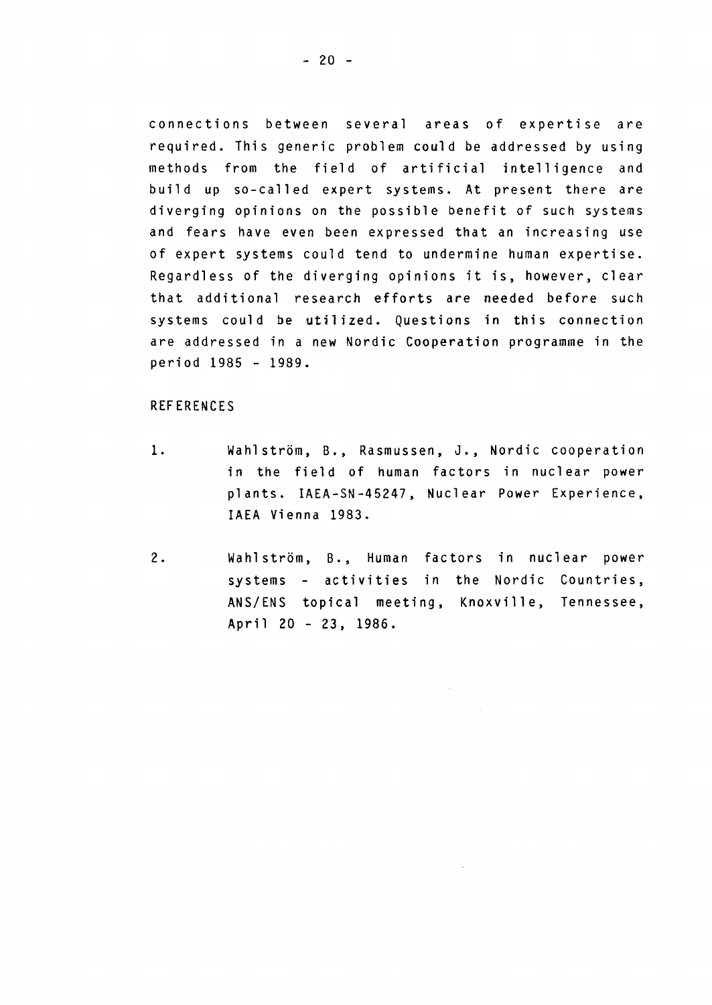connections between several areas of expertise are required. This generic problem could be addressed by using methods from the field of artificial intelligence and build up so-called expert systems. At present there are diverging opinions on the possible benefit of such systems and fears have even been expressed that an increasing use of expert systems could tend to undermine human expertise. Regardless of the diverging opinions it is, however, clear that additional research efforts are needed before such systems could be utilized. Questions in this connection åre addressed in a new Nordic Cooperation programme in the period 1985 - 1989.

#### REFERENCES

- 1. Wahlström, B., Rasmussen, J., Nordic cooperation in the field of human factors in nuclear power plants. IAEA-SN-45247, Nuclear Power Experience, IAEA Vienna 1983.
- 2. Wahlström, B., Human factors in nuclear power systems - activities in the Nordic Countries, ANS/ENS topical meeting, Knoxville, Tennessee, April 20 - 23, 1986.